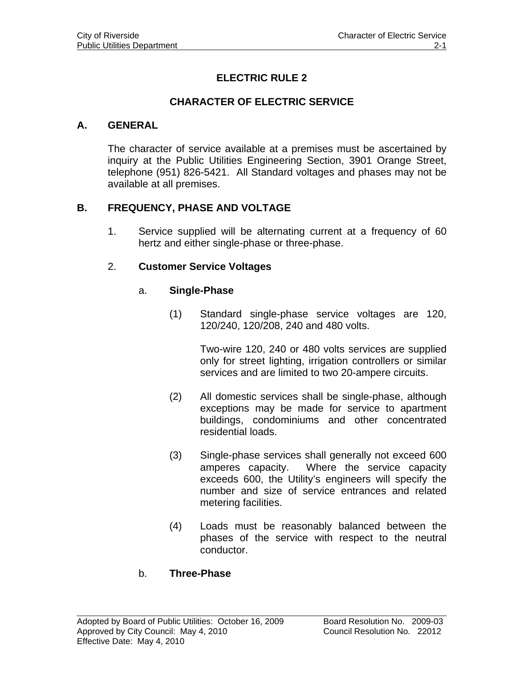# **ELECTRIC RULE 2**

### **CHARACTER OF ELECTRIC SERVICE**

#### **A. GENERAL**

The character of service available at a premises must be ascertained by inquiry at the Public Utilities Engineering Section, 3901 Orange Street, telephone (951) 826-5421. All Standard voltages and phases may not be available at all premises.

### **B. FREQUENCY, PHASE AND VOLTAGE**

1. Service supplied will be alternating current at a frequency of 60 hertz and either single-phase or three-phase.

#### 2. **Customer Service Voltages**

#### a. **Single-Phase**

(1) Standard single-phase service voltages are 120, 120/240, 120/208, 240 and 480 volts.

> Two-wire 120, 240 or 480 volts services are supplied only for street lighting, irrigation controllers or similar services and are limited to two 20-ampere circuits.

- (2) All domestic services shall be single-phase, although exceptions may be made for service to apartment buildings, condominiums and other concentrated residential loads.
- (3) Single-phase services shall generally not exceed 600 amperes capacity. Where the service capacity exceeds 600, the Utility's engineers will specify the number and size of service entrances and related metering facilities.
- (4) Loads must be reasonably balanced between the phases of the service with respect to the neutral conductor.

#### b. **Three-Phase**

 $\overline{a}$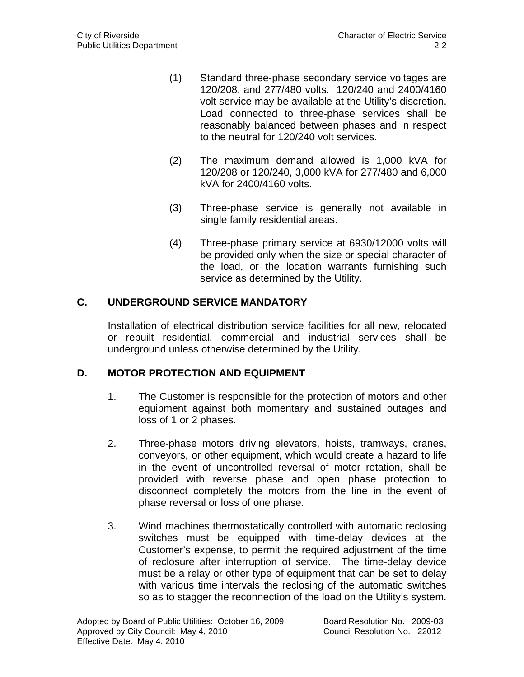- (1) Standard three-phase secondary service voltages are 120/208, and 277/480 volts. 120/240 and 2400/4160 volt service may be available at the Utility's discretion. Load connected to three-phase services shall be reasonably balanced between phases and in respect to the neutral for 120/240 volt services.
- (2) The maximum demand allowed is 1,000 kVA for 120/208 or 120/240, 3,000 kVA for 277/480 and 6,000 kVA for 2400/4160 volts.
- (3) Three-phase service is generally not available in single family residential areas.
- (4) Three-phase primary service at 6930/12000 volts will be provided only when the size or special character of the load, or the location warrants furnishing such service as determined by the Utility.

## **C. UNDERGROUND SERVICE MANDATORY**

Installation of electrical distribution service facilities for all new, relocated or rebuilt residential, commercial and industrial services shall be underground unless otherwise determined by the Utility.

# **D. MOTOR PROTECTION AND EQUIPMENT**

- 1. The Customer is responsible for the protection of motors and other equipment against both momentary and sustained outages and loss of 1 or 2 phases.
- 2. Three-phase motors driving elevators, hoists, tramways, cranes, conveyors, or other equipment, which would create a hazard to life in the event of uncontrolled reversal of motor rotation, shall be provided with reverse phase and open phase protection to disconnect completely the motors from the line in the event of phase reversal or loss of one phase.
- 3. Wind machines thermostatically controlled with automatic reclosing switches must be equipped with time-delay devices at the Customer's expense, to permit the required adjustment of the time of reclosure after interruption of service. The time-delay device must be a relay or other type of equipment that can be set to delay with various time intervals the reclosing of the automatic switches so as to stagger the reconnection of the load on the Utility's system.